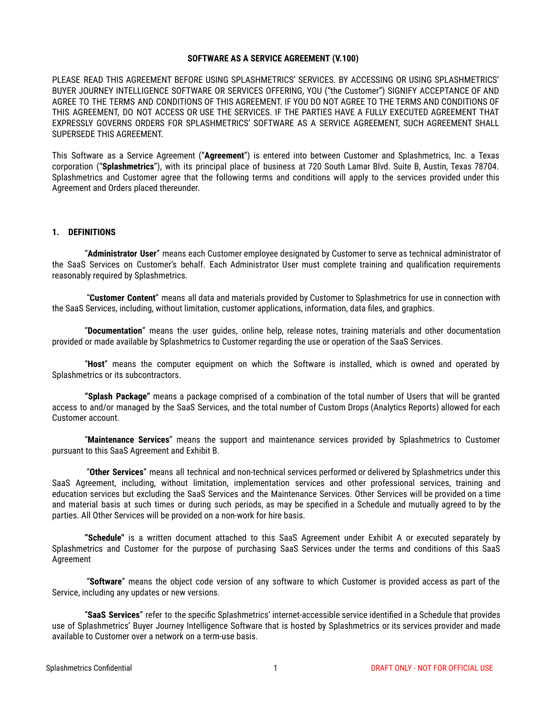#### **SOFTWARE AS A SERVICE AGREEMENT (V.100)**

PLEASE READ THIS AGREEMENT BEFORE USING SPLASHMETRICS' SERVICES. BY ACCESSING OR USING SPLASHMETRICS' BUYER JOURNEY INTELLIGENCE SOFTWARE OR SERVICES OFFERING, YOU ("the Customer") SIGNIFY ACCEPTANCE OF AND AGREE TO THE TERMS AND CONDITIONS OF THIS AGREEMENT. IF YOU DO NOT AGREE TO THE TERMS AND CONDITIONS OF THIS AGREEMENT, DO NOT ACCESS OR USE THE SERVICES. IF THE PARTIES HAVE A FULLY EXECUTED AGREEMENT THAT EXPRESSLY GOVERNS ORDERS FOR SPLASHMETRICS' SOFTWARE AS A SERVICE AGREEMENT, SUCH AGREEMENT SHALL SUPERSEDE THIS AGREEMENT.

This Software as a Service Agreement ("**Agreement**") is entered into between Customer and Splashmetrics, Inc. a Texas corporation ("**Splashmetrics**"), with its principal place of business at 720 South Lamar Blvd. Suite B, Austin, Texas 78704. Splashmetrics and Customer agree that the following terms and conditions will apply to the services provided under this Agreement and Orders placed thereunder.

#### **1. DEFINITIONS**

"**Administrator User**" means each Customer employee designated by Customer to serve as technical administrator of the SaaS Services on Customer's behalf. Each Administrator User must complete training and qualification requirements reasonably required by Splashmetrics.

"**Customer Content**" means all data and materials provided by Customer to Splashmetrics for use in connection with the SaaS Services, including, without limitation, customer applications, information, data files, and graphics.

"**Documentation**" means the user guides, online help, release notes, training materials and other documentation provided or made available by Splashmetrics to Customer regarding the use or operation of the SaaS Services.

"**Host**" means the computer equipment on which the Software is installed, which is owned and operated by Splashmetrics or its subcontractors.

**"Splash Package"** means a package comprised of a combination of the total number of Users that will be granted access to and/or managed by the SaaS Services, and the total number of Custom Drops (Analytics Reports) allowed for each Customer account.

"**Maintenance Services**" means the support and maintenance services provided by Splashmetrics to Customer pursuant to this SaaS Agreement and Exhibit B.

"**Other Services**" means all technical and non-technical services performed or delivered by Splashmetrics under this SaaS Agreement, including, without limitation, implementation services and other professional services, training and education services but excluding the SaaS Services and the Maintenance Services. Other Services will be provided on a time and material basis at such times or during such periods, as may be specified in a Schedule and mutually agreed to by the parties. All Other Services will be provided on a non-work for hire basis.

**"Schedule"** is a written document attached to this SaaS Agreement under Exhibit A or executed separately by Splashmetrics and Customer for the purpose of purchasing SaaS Services under the terms and conditions of this SaaS Agreement

"**Software**" means the object code version of any software to which Customer is provided access as part of the Service, including any updates or new versions.

"**SaaS Services**" refer to the specific Splashmetrics' internet-accessible service identified in a Schedule that provides use of Splashmetrics' Buyer Journey Intelligence Software that is hosted by Splashmetrics or its services provider and made available to Customer over a network on a term-use basis.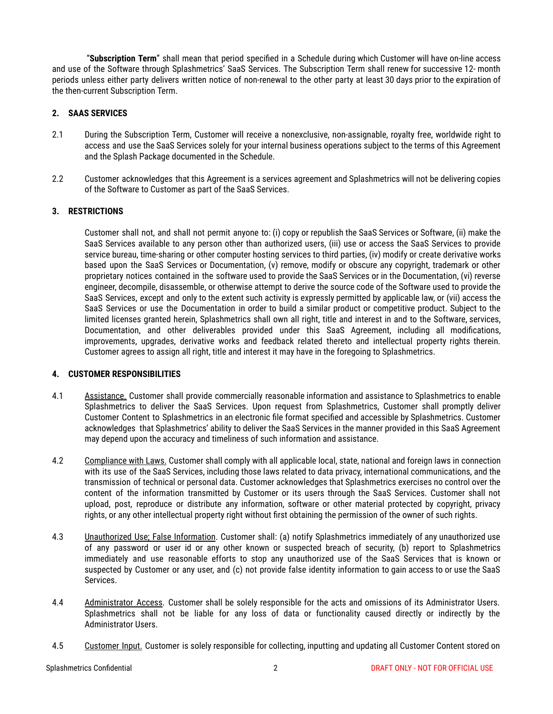"**Subscription Term**" shall mean that period specified in a Schedule during which Customer will have on-line access and use of the Software through Splashmetrics' SaaS Services. The Subscription Term shall renew for successive 12- month periods unless either party delivers written notice of non-renewal to the other party at least 30 days prior to the expiration of the then-current Subscription Term.

# **2. SAAS SERVICES**

- 2.1 During the Subscription Term, Customer will receive a nonexclusive, non-assignable, royalty free, worldwide right to access and use the SaaS Services solely for your internal business operations subject to the terms of this Agreement and the Splash Package documented in the Schedule.
- 2.2 Customer acknowledges that this Agreement is a services agreement and Splashmetrics will not be delivering copies of the Software to Customer as part of the SaaS Services.

## **3. RESTRICTIONS**

Customer shall not, and shall not permit anyone to: (i) copy or republish the SaaS Services or Software, (ii) make the SaaS Services available to any person other than authorized users, (iii) use or access the SaaS Services to provide service bureau, time-sharing or other computer hosting services to third parties, (iv) modify or create derivative works based upon the SaaS Services or Documentation, (v) remove, modify or obscure any copyright, trademark or other proprietary notices contained in the software used to provide the SaaS Services or in the Documentation, (vi) reverse engineer, decompile, disassemble, or otherwise attempt to derive the source code of the Software used to provide the SaaS Services, except and only to the extent such activity is expressly permitted by applicable law, or (vii) access the SaaS Services or use the Documentation in order to build a similar product or competitive product. Subject to the limited licenses granted herein, Splashmetrics shall own all right, title and interest in and to the Software, services, Documentation, and other deliverables provided under this SaaS Agreement, including all modifications, improvements, upgrades, derivative works and feedback related thereto and intellectual property rights therein. Customer agrees to assign all right, title and interest it may have in the foregoing to Splashmetrics.

## **4. CUSTOMER RESPONSIBILITIES**

- 4.1 Assistance. Customer shall provide commercially reasonable information and assistance to Splashmetrics to enable Splashmetrics to deliver the SaaS Services. Upon request from Splashmetrics, Customer shall promptly deliver Customer Content to Splashmetrics in an electronic file format specified and accessible by Splashmetrics. Customer acknowledges that Splashmetrics' ability to deliver the SaaS Services in the manner provided in this SaaS Agreement may depend upon the accuracy and timeliness of such information and assistance.
- 4.2 Compliance with Laws. Customer shall comply with all applicable local, state, national and foreign laws in connection with its use of the SaaS Services, including those laws related to data privacy, international communications, and the transmission of technical or personal data. Customer acknowledges that Splashmetrics exercises no control over the content of the information transmitted by Customer or its users through the SaaS Services. Customer shall not upload, post, reproduce or distribute any information, software or other material protected by copyright, privacy rights, or any other intellectual property right without first obtaining the permission of the owner of such rights.
- 4.3 Unauthorized Use; False Information. Customer shall: (a) notify Splashmetrics immediately of any unauthorized use of any password or user id or any other known or suspected breach of security, (b) report to Splashmetrics immediately and use reasonable efforts to stop any unauthorized use of the SaaS Services that is known or suspected by Customer or any user, and (c) not provide false identity information to gain access to or use the SaaS Services.
- 4.4 Administrator Access. Customer shall be solely responsible for the acts and omissions of its Administrator Users. Splashmetrics shall not be liable for any loss of data or functionality caused directly or indirectly by the Administrator Users.
- 4.5 Customer Input. Customer is solely responsible for collecting, inputting and updating all Customer Content stored on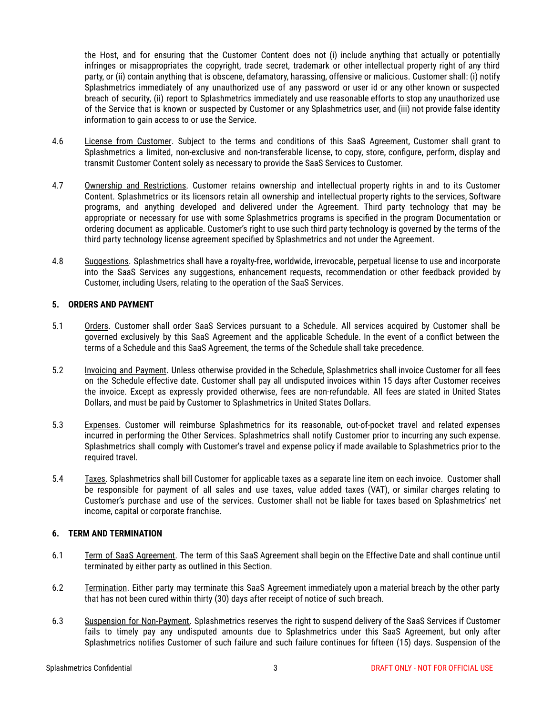the Host, and for ensuring that the Customer Content does not (i) include anything that actually or potentially infringes or misappropriates the copyright, trade secret, trademark or other intellectual property right of any third party, or (ii) contain anything that is obscene, defamatory, harassing, offensive or malicious. Customer shall: (i) notify Splashmetrics immediately of any unauthorized use of any password or user id or any other known or suspected breach of security, (ii) report to Splashmetrics immediately and use reasonable efforts to stop any unauthorized use of the Service that is known or suspected by Customer or any Splashmetrics user, and (iii) not provide false identity information to gain access to or use the Service.

- 4.6 License from Customer. Subject to the terms and conditions of this SaaS Agreement, Customer shall grant to Splashmetrics a limited, non-exclusive and non-transferable license, to copy, store, configure, perform, display and transmit Customer Content solely as necessary to provide the SaaS Services to Customer.
- 4.7 Ownership and Restrictions. Customer retains ownership and intellectual property rights in and to its Customer Content. Splashmetrics or its licensors retain all ownership and intellectual property rights to the services, Software programs, and anything developed and delivered under the Agreement. Third party technology that may be appropriate or necessary for use with some Splashmetrics programs is specified in the program Documentation or ordering document as applicable. Customer's right to use such third party technology is governed by the terms of the third party technology license agreement specified by Splashmetrics and not under the Agreement.
- 4.8 Suggestions. Splashmetrics shall have a royalty-free, worldwide, irrevocable, perpetual license to use and incorporate into the SaaS Services any suggestions, enhancement requests, recommendation or other feedback provided by Customer, including Users, relating to the operation of the SaaS Services.

## **5. ORDERS AND PAYMENT**

- 5.1 Orders. Customer shall order SaaS Services pursuant to a Schedule. All services acquired by Customer shall be governed exclusively by this SaaS Agreement and the applicable Schedule. In the event of a conflict between the terms of a Schedule and this SaaS Agreement, the terms of the Schedule shall take precedence.
- 5.2 Invoicing and Payment. Unless otherwise provided in the Schedule, Splashmetrics shall invoice Customer for all fees on the Schedule effective date. Customer shall pay all undisputed invoices within 15 days after Customer receives the invoice. Except as expressly provided otherwise, fees are non-refundable. All fees are stated in United States Dollars, and must be paid by Customer to Splashmetrics in United States Dollars.
- 5.3 Expenses. Customer will reimburse Splashmetrics for its reasonable, out-of-pocket travel and related expenses incurred in performing the Other Services. Splashmetrics shall notify Customer prior to incurring any such expense. Splashmetrics shall comply with Customer's travel and expense policy if made available to Splashmetrics prior to the required travel.
- 5.4 Taxes. Splashmetrics shall bill Customer for applicable taxes as a separate line item on each invoice. Customer shall be responsible for payment of all sales and use taxes, value added taxes (VAT), or similar charges relating to Customer's purchase and use of the services. Customer shall not be liable for taxes based on Splashmetrics' net income, capital or corporate franchise.

## **6. TERM AND TERMINATION**

- 6.1 Term of SaaS Agreement. The term of this SaaS Agreement shall begin on the Effective Date and shall continue until terminated by either party as outlined in this Section.
- 6.2 Termination. Either party may terminate this SaaS Agreement immediately upon a material breach by the other party that has not been cured within thirty (30) days after receipt of notice of such breach.
- 6.3 Suspension for Non-Payment. Splashmetrics reserves the right to suspend delivery of the SaaS Services if Customer fails to timely pay any undisputed amounts due to Splashmetrics under this SaaS Agreement, but only after Splashmetrics notifies Customer of such failure and such failure continues for fifteen (15) days. Suspension of the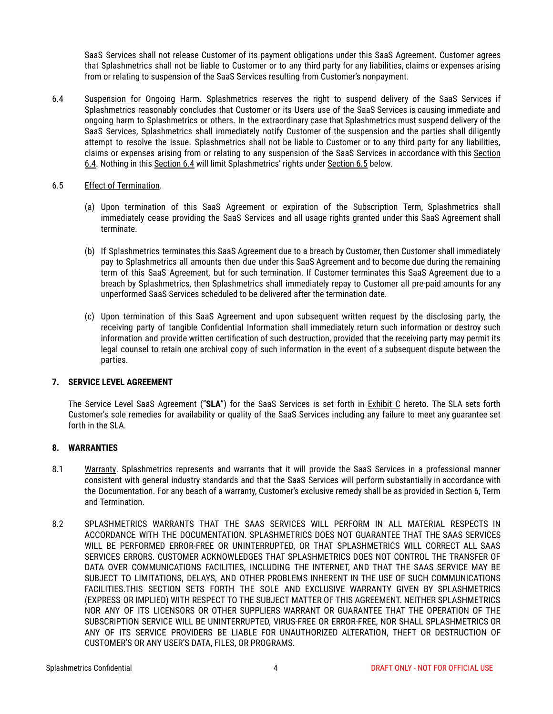SaaS Services shall not release Customer of its payment obligations under this SaaS Agreement. Customer agrees that Splashmetrics shall not be liable to Customer or to any third party for any liabilities, claims or expenses arising from or relating to suspension of the SaaS Services resulting from Customer's nonpayment.

- 6.4 Suspension for Ongoing Harm. Splashmetrics reserves the right to suspend delivery of the SaaS Services if Splashmetrics reasonably concludes that Customer or its Users use of the SaaS Services is causing immediate and ongoing harm to Splashmetrics or others. In the extraordinary case that Splashmetrics must suspend delivery of the SaaS Services, Splashmetrics shall immediately notify Customer of the suspension and the parties shall diligently attempt to resolve the issue. Splashmetrics shall not be liable to Customer or to any third party for any liabilities, claims or expenses arising from or relating to any suspension of the SaaS Services in accordance with this Section 6.4. Nothing in this Section 6.4 will limit Splashmetrics' rights under Section 6.5 below.
- 6.5 Effect of Termination.
	- (a) Upon termination of this SaaS Agreement or expiration of the Subscription Term, Splashmetrics shall immediately cease providing the SaaS Services and all usage rights granted under this SaaS Agreement shall terminate.
	- (b) If Splashmetrics terminates this SaaS Agreement due to a breach by Customer, then Customer shall immediately pay to Splashmetrics all amounts then due under this SaaS Agreement and to become due during the remaining term of this SaaS Agreement, but for such termination. If Customer terminates this SaaS Agreement due to a breach by Splashmetrics, then Splashmetrics shall immediately repay to Customer all pre-paid amounts for any unperformed SaaS Services scheduled to be delivered after the termination date.
	- (c) Upon termination of this SaaS Agreement and upon subsequent written request by the disclosing party, the receiving party of tangible Confidential Information shall immediately return such information or destroy such information and provide written certification of such destruction, provided that the receiving party may permit its legal counsel to retain one archival copy of such information in the event of a subsequent dispute between the parties.

# **7. SERVICE LEVEL AGREEMENT**

The Service Level SaaS Agreement ("**SLA**") for the SaaS Services is set forth in Exhibit C hereto. The SLA sets forth Customer's sole remedies for availability or quality of the SaaS Services including any failure to meet any guarantee set forth in the SLA.

## **8. WARRANTIES**

- 8.1 Warranty. Splashmetrics represents and warrants that it will provide the SaaS Services in a professional manner consistent with general industry standards and that the SaaS Services will perform substantially in accordance with the Documentation. For any beach of a warranty, Customer's exclusive remedy shall be as provided in Section 6, Term and Termination.
- 8.2 SPLASHMETRICS WARRANTS THAT THE SAAS SERVICES WILL PERFORM IN ALL MATERIAL RESPECTS IN ACCORDANCE WITH THE DOCUMENTATION. SPLASHMETRICS DOES NOT GUARANTEE THAT THE SAAS SERVICES WILL BE PERFORMED ERROR-FREE OR UNINTERRUPTED, OR THAT SPLASHMETRICS WILL CORRECT ALL SAAS SERVICES ERRORS. CUSTOMER ACKNOWLEDGES THAT SPLASHMETRICS DOES NOT CONTROL THE TRANSFER OF DATA OVER COMMUNICATIONS FACILITIES, INCLUDING THE INTERNET, AND THAT THE SAAS SERVICE MAY BE SUBJECT TO LIMITATIONS, DELAYS, AND OTHER PROBLEMS INHERENT IN THE USE OF SUCH COMMUNICATIONS FACILITIES.THIS SECTION SETS FORTH THE SOLE AND EXCLUSIVE WARRANTY GIVEN BY SPLASHMETRICS (EXPRESS OR IMPLIED) WITH RESPECT TO THE SUBJECT MATTER OF THIS AGREEMENT. NEITHER SPLASHMETRICS NOR ANY OF ITS LICENSORS OR OTHER SUPPLIERS WARRANT OR GUARANTEE THAT THE OPERATION OF THE SUBSCRIPTION SERVICE WILL BE UNINTERRUPTED, VIRUS-FREE OR ERROR-FREE, NOR SHALL SPLASHMETRICS OR ANY OF ITS SERVICE PROVIDERS BE LIABLE FOR UNAUTHORIZED ALTERATION, THEFT OR DESTRUCTION OF CUSTOMER'S OR ANY USER'S DATA, FILES, OR PROGRAMS.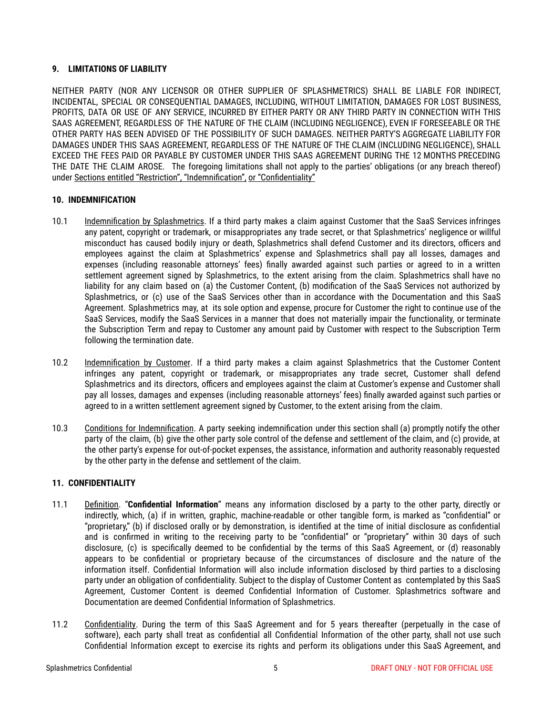# **9. LIMITATIONS OF LIABILITY**

NEITHER PARTY (NOR ANY LICENSOR OR OTHER SUPPLIER OF SPLASHMETRICS) SHALL BE LIABLE FOR INDIRECT, INCIDENTAL, SPECIAL OR CONSEQUENTIAL DAMAGES, INCLUDING, WITHOUT LIMITATION, DAMAGES FOR LOST BUSINESS, PROFITS, DATA OR USE OF ANY SERVICE, INCURRED BY EITHER PARTY OR ANY THIRD PARTY IN CONNECTION WITH THIS SAAS AGREEMENT, REGARDLESS OF THE NATURE OF THE CLAIM (INCLUDING NEGLIGENCE), EVEN IF FORESEEABLE OR THE OTHER PARTY HAS BEEN ADVISED OF THE POSSIBILITY OF SUCH DAMAGES. NEITHER PARTY'S AGGREGATE LIABILITY FOR DAMAGES UNDER THIS SAAS AGREEMENT, REGARDLESS OF THE NATURE OF THE CLAIM (INCLUDING NEGLIGENCE), SHALL EXCEED THE FEES PAID OR PAYABLE BY CUSTOMER UNDER THIS SAAS AGREEMENT DURING THE 12 MONTHS PRECEDING THE DATE THE CLAIM AROSE. The foregoing limitations shall not apply to the parties' obligations (or any breach thereof) under Sections entitled "Restriction", "Indemnification", or "Confidentiality"

## **10. INDEMNIFICATION**

- 10.1 Indemnification by Splashmetrics. If a third party makes a claim against Customer that the SaaS Services infringes any patent, copyright or trademark, or misappropriates any trade secret, or that Splashmetrics' negligence or willful misconduct has caused bodily injury or death, Splashmetrics shall defend Customer and its directors, officers and employees against the claim at Splashmetrics' expense and Splashmetrics shall pay all losses, damages and expenses (including reasonable attorneys' fees) finally awarded against such parties or agreed to in a written settlement agreement signed by Splashmetrics, to the extent arising from the claim. Splashmetrics shall have no liability for any claim based on (a) the Customer Content, (b) modification of the SaaS Services not authorized by Splashmetrics, or (c) use of the SaaS Services other than in accordance with the Documentation and this SaaS Agreement. Splashmetrics may, at its sole option and expense, procure for Customer the right to continue use of the SaaS Services, modify the SaaS Services in a manner that does not materially impair the functionality, or terminate the Subscription Term and repay to Customer any amount paid by Customer with respect to the Subscription Term following the termination date.
- 10.2 Indemnification by Customer. If a third party makes a claim against Splashmetrics that the Customer Content infringes any patent, copyright or trademark, or misappropriates any trade secret, Customer shall defend Splashmetrics and its directors, officers and employees against the claim at Customer's expense and Customer shall pay all losses, damages and expenses (including reasonable attorneys' fees) finally awarded against such parties or agreed to in a written settlement agreement signed by Customer, to the extent arising from the claim.
- 10.3 Conditions for Indemnification. A party seeking indemnification under this section shall (a) promptly notify the other party of the claim, (b) give the other party sole control of the defense and settlement of the claim, and (c) provide, at the other party's expense for out-of-pocket expenses, the assistance, information and authority reasonably requested by the other party in the defense and settlement of the claim.

## **11. CONFIDENTIALITY**

- 11.1 Definition. "**Confidential Information**" means any information disclosed by a party to the other party, directly or indirectly, which, (a) if in written, graphic, machine-readable or other tangible form, is marked as "confidential" or "proprietary," (b) if disclosed orally or by demonstration, is identified at the time of initial disclosure as confidential and is confirmed in writing to the receiving party to be "confidential" or "proprietary" within 30 days of such disclosure, (c) is specifically deemed to be confidential by the terms of this SaaS Agreement, or (d) reasonably appears to be confidential or proprietary because of the circumstances of disclosure and the nature of the information itself. Confidential Information will also include information disclosed by third parties to a disclosing party under an obligation of confidentiality. Subject to the display of Customer Content as contemplated by this SaaS Agreement, Customer Content is deemed Confidential Information of Customer. Splashmetrics software and Documentation are deemed Confidential Information of Splashmetrics.
- 11.2 Confidentiality. During the term of this SaaS Agreement and for 5 years thereafter (perpetually in the case of software), each party shall treat as confidential all Confidential Information of the other party, shall not use such Confidential Information except to exercise its rights and perform its obligations under this SaaS Agreement, and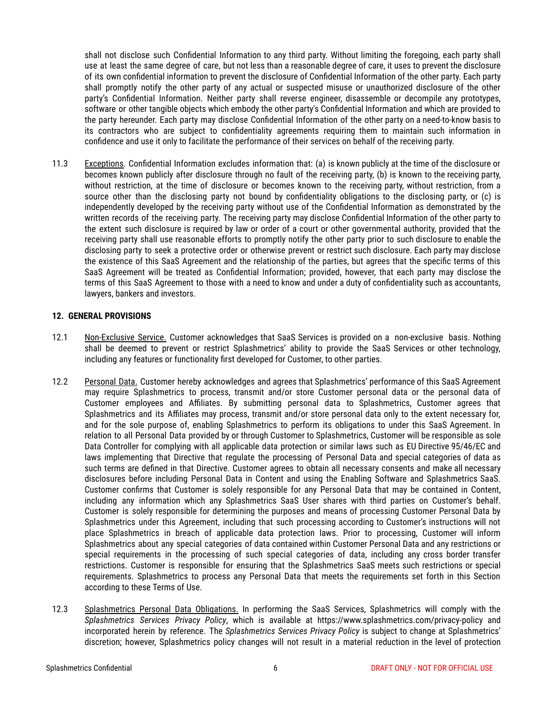shall not disclose such Confidential Information to any third party. Without limiting the foregoing, each party shall use at least the same degree of care, but not less than a reasonable degree of care, it uses to prevent the disclosure of its own confidential information to prevent the disclosure of Confidential Information of the other party. Each party shall promptly notify the other party of any actual or suspected misuse or unauthorized disclosure of the other party's Confidential Information. Neither party shall reverse engineer, disassemble or decompile any prototypes, software or other tangible objects which embody the other party's Confidential Information and which are provided to the party hereunder. Each party may disclose Confidential Information of the other party on a need-to-know basis to its contractors who are subject to confidentiality agreements requiring them to maintain such information in confidence and use it only to facilitate the performance of their services on behalf of the receiving party.

11.3 Exceptions. Confidential Information excludes information that: (a) is known publicly at the time of the disclosure or becomes known publicly after disclosure through no fault of the receiving party, (b) is known to the receiving party, without restriction, at the time of disclosure or becomes known to the receiving party, without restriction, from a source other than the disclosing party not bound by confidentiality obligations to the disclosing party, or (c) is independently developed by the receiving party without use of the Confidential Information as demonstrated by the written records of the receiving party. The receiving party may disclose Confidential Information of the other party to the extent such disclosure is required by law or order of a court or other governmental authority, provided that the receiving party shall use reasonable efforts to promptly notify the other party prior to such disclosure to enable the disclosing party to seek a protective order or otherwise prevent or restrict such disclosure. Each party may disclose the existence of this SaaS Agreement and the relationship of the parties, but agrees that the specific terms of this SaaS Agreement will be treated as Confidential Information; provided, however, that each party may disclose the terms of this SaaS Agreement to those with a need to know and under a duty of confidentiality such as accountants, lawyers, bankers and investors.

#### **12. GENERAL PROVISIONS**

- 12.1 Non-Exclusive Service. Customer acknowledges that SaaS Services is provided on a non-exclusive basis. Nothing shall be deemed to prevent or restrict Splashmetrics' ability to provide the SaaS Services or other technology, including any features or functionality first developed for Customer, to other parties.
- 12.2 Personal Data. Customer hereby acknowledges and agrees that Splashmetrics' performance of this SaaS Agreement may require Splashmetrics to process, transmit and/or store Customer personal data or the personal data of Customer employees and Affiliates. By submitting personal data to Splashmetrics, Customer agrees that Splashmetrics and its Affiliates may process, transmit and/or store personal data only to the extent necessary for, and for the sole purpose of, enabling Splashmetrics to perform its obligations to under this SaaS Agreement. In relation to all Personal Data provided by or through Customer to Splashmetrics, Customer will be responsible as sole Data Controller for complying with all applicable data protection or similar laws such as EU Directive 95/46/EC and laws implementing that Directive that regulate the processing of Personal Data and special categories of data as such terms are defined in that Directive. Customer agrees to obtain all necessary consents and make all necessary disclosures before including Personal Data in Content and using the Enabling Software and Splashmetrics SaaS. Customer confirms that Customer is solely responsible for any Personal Data that may be contained in Content, including any information which any Splashmetrics SaaS User shares with third parties on Customer's behalf. Customer is solely responsible for determining the purposes and means of processing Customer Personal Data by Splashmetrics under this Agreement, including that such processing according to Customer's instructions will not place Splashmetrics in breach of applicable data protection laws. Prior to processing, Customer will inform Splashmetrics about any special categories of data contained within Customer Personal Data and any restrictions or special requirements in the processing of such special categories of data, including any cross border transfer restrictions. Customer is responsible for ensuring that the Splashmetrics SaaS meets such restrictions or special requirements. Splashmetrics to process any Personal Data that meets the requirements set forth in this Section according to these Terms of Use.
- 12.3 Splashmetrics Personal Data Obligations. In performing the SaaS Services, Splashmetrics will comply with the *Splashmetrics Services Privacy Policy*, which is available at [https://www.splashmetrics.com/privacy-policy](http://www.sailpoint.com/privacy-policy) and incorporated herein by reference. The *Splashmetrics Services Privacy Policy* is subject to change at Splashmetrics' discretion; however, Splashmetrics policy changes will not result in a material reduction in the level of protection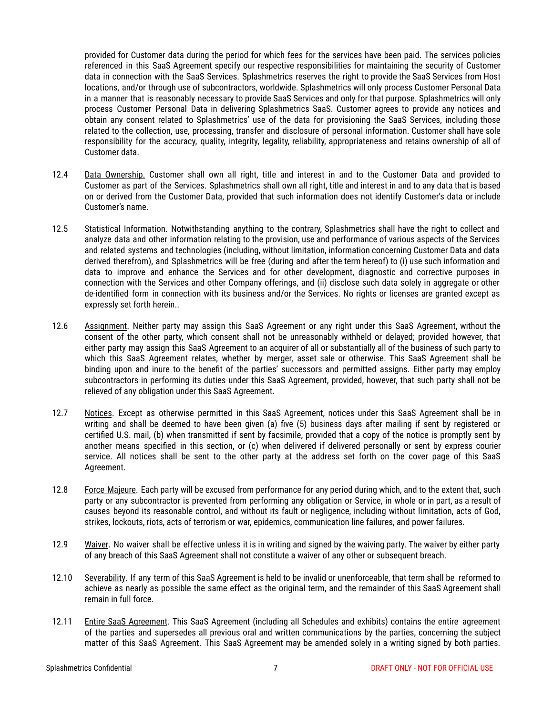provided for Customer data during the period for which fees for the services have been paid. The services policies referenced in this SaaS Agreement specify our respective responsibilities for maintaining the security of Customer data in connection with the SaaS Services. Splashmetrics reserves the right to provide the SaaS Services from Host locations, and/or through use of subcontractors, worldwide. Splashmetrics will only process Customer Personal Data in a manner that is reasonably necessary to provide SaaS Services and only for that purpose. Splashmetrics will only process Customer Personal Data in delivering Splashmetrics SaaS. Customer agrees to provide any notices and obtain any consent related to Splashmetrics' use of the data for provisioning the SaaS Services, including those related to the collection, use, processing, transfer and disclosure of personal information. Customer shall have sole responsibility for the accuracy, quality, integrity, legality, reliability, appropriateness and retains ownership of all of Customer data.

- 12.4 Data Ownership. Customer shall own all right, title and interest in and to the Customer Data and provided to Customer as part of the Services. Splashmetrics shall own all right, title and interest in and to any data that is based on or derived from the Customer Data, provided that such information does not identify Customer's data or include Customer's name.
- 12.5 Statistical Information. Notwithstanding anything to the contrary, Splashmetrics shall have the right to collect and analyze data and other information relating to the provision, use and performance of various aspects of the Services and related systems and technologies (including, without limitation, information concerning Customer Data and data derived therefrom), and Splashmetrics will be free (during and after the term hereof) to (i) use such information and data to improve and enhance the Services and for other development, diagnostic and corrective purposes in connection with the Services and other Company offerings, and (ii) disclose such data solely in aggregate or other de-identified form in connection with its business and/or the Services. No rights or licenses are granted except as expressly set forth herein..
- 12.6 Assignment. Neither party may assign this SaaS Agreement or any right under this SaaS Agreement, without the consent of the other party, which consent shall not be unreasonably withheld or delayed; provided however, that either party may assign this SaaS Agreement to an acquirer of all or substantially all of the business of such party to which this SaaS Agreement relates, whether by merger, asset sale or otherwise. This SaaS Agreement shall be binding upon and inure to the benefit of the parties' successors and permitted assigns. Either party may employ subcontractors in performing its duties under this SaaS Agreement, provided, however, that such party shall not be relieved of any obligation under this SaaS Agreement.
- 12.7 Notices. Except as otherwise permitted in this SaaS Agreement, notices under this SaaS Agreement shall be in writing and shall be deemed to have been given (a) five (5) business days after mailing if sent by registered or certified U.S. mail, (b) when transmitted if sent by facsimile, provided that a copy of the notice is promptly sent by another means specified in this section, or (c) when delivered if delivered personally or sent by express courier service. All notices shall be sent to the other party at the address set forth on the cover page of this SaaS Agreement.
- 12.8 Force Majeure. Each party will be excused from performance for any period during which, and to the extent that, such party or any subcontractor is prevented from performing any obligation or Service, in whole or in part, as a result of causes beyond its reasonable control, and without its fault or negligence, including without limitation, acts of God, strikes, lockouts, riots, acts of terrorism or war, epidemics, communication line failures, and power failures.
- 12.9 Waiver. No waiver shall be effective unless it is in writing and signed by the waiving party. The waiver by either party of any breach of this SaaS Agreement shall not constitute a waiver of any other or subsequent breach.
- 12.10 Severability. If any term of this SaaS Agreement is held to be invalid or unenforceable, that term shall be reformed to achieve as nearly as possible the same effect as the original term, and the remainder of this SaaS Agreement shall remain in full force.
- 12.11 Entire SaaS Agreement. This SaaS Agreement (including all Schedules and exhibits) contains the entire agreement of the parties and supersedes all previous oral and written communications by the parties, concerning the subject matter of this SaaS Agreement. This SaaS Agreement may be amended solely in a writing signed by both parties.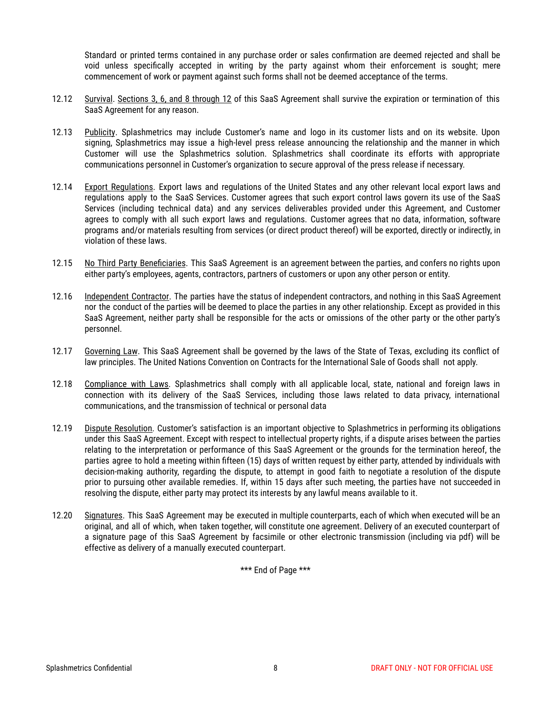Standard or printed terms contained in any purchase order or sales confirmation are deemed rejected and shall be void unless specifically accepted in writing by the party against whom their enforcement is sought; mere commencement of work or payment against such forms shall not be deemed acceptance of the terms.

- 12.12 Survival. Sections 3, 6, and 8 through 12 of this SaaS Agreement shall survive the expiration or termination of this SaaS Agreement for any reason.
- 12.13 Publicity. Splashmetrics may include Customer's name and logo in its customer lists and on its website. Upon signing, Splashmetrics may issue a high-level press release announcing the relationship and the manner in which Customer will use the Splashmetrics solution. Splashmetrics shall coordinate its efforts with appropriate communications personnel in Customer's organization to secure approval of the press release if necessary.
- 12.14 Export Regulations. Export laws and regulations of the United States and any other relevant local export laws and regulations apply to the SaaS Services. Customer agrees that such export control laws govern its use of the SaaS Services (including technical data) and any services deliverables provided under this Agreement, and Customer agrees to comply with all such export laws and regulations. Customer agrees that no data, information, software programs and/or materials resulting from services (or direct product thereof) will be exported, directly or indirectly, in violation of these laws.
- 12.15 No Third Party Beneficiaries. This SaaS Agreement is an agreement between the parties, and confers no rights upon either party's employees, agents, contractors, partners of customers or upon any other person or entity.
- 12.16 Independent Contractor. The parties have the status of independent contractors, and nothing in this SaaS Agreement nor the conduct of the parties will be deemed to place the parties in any other relationship. Except as provided in this SaaS Agreement, neither party shall be responsible for the acts or omissions of the other party or the other party's personnel.
- 12.17 Governing Law. This SaaS Agreement shall be governed by the laws of the State of Texas, excluding its conflict of law principles. The United Nations Convention on Contracts for the International Sale of Goods shall not apply.
- 12.18 Compliance with Laws. Splashmetrics shall comply with all applicable local, state, national and foreign laws in connection with its delivery of the SaaS Services, including those laws related to data privacy, international communications, and the transmission of technical or personal data
- 12.19 Dispute Resolution. Customer's satisfaction is an important objective to Splashmetrics in performing its obligations under this SaaS Agreement. Except with respect to intellectual property rights, if a dispute arises between the parties relating to the interpretation or performance of this SaaS Agreement or the grounds for the termination hereof, the parties agree to hold a meeting within fifteen (15) days of written request by either party, attended by individuals with decision-making authority, regarding the dispute, to attempt in good faith to negotiate a resolution of the dispute prior to pursuing other available remedies. If, within 15 days after such meeting, the parties have not succeeded in resolving the dispute, either party may protect its interests by any lawful means available to it.
- 12.20 Signatures. This SaaS Agreement may be executed in multiple counterparts, each of which when executed will be an original, and all of which, when taken together, will constitute one agreement. Delivery of an executed counterpart of a signature page of this SaaS Agreement by facsimile or other electronic transmission (including via pdf) will be effective as delivery of a manually executed counterpart.

\*\*\* End of Page \*\*\*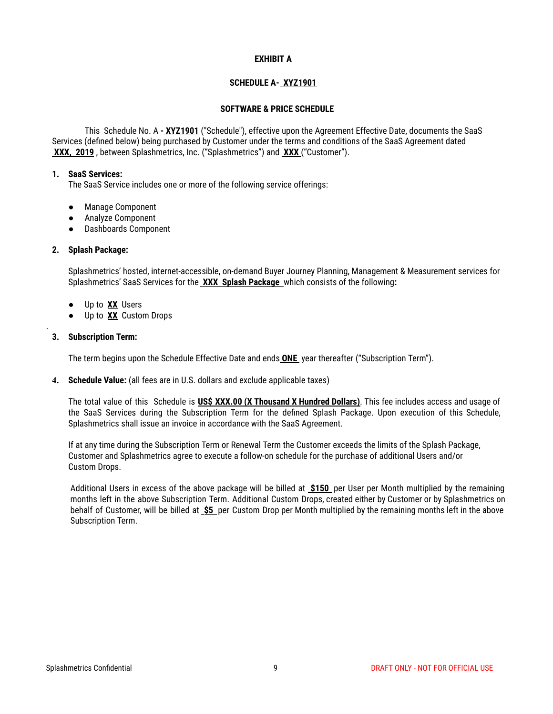## **EXHIBIT A**

# **SCHEDULE A- XYZ1901**

## **SOFTWARE & PRICE SCHEDULE**

This Schedule No. A **- XYZ1901** ("Schedule"), effective upon the Agreement Effective Date, documents the SaaS Services (defined below) being purchased by Customer under the terms and conditions of the SaaS Agreement dated **XXX, 2019** , between Splashmetrics, Inc. ("Splashmetrics") and **XXX** ("Customer").

#### **1. SaaS Services:**

The SaaS Service includes one or more of the following service offerings:

- Manage Component
- Analyze Component
- Dashboards Component

# **2. Splash Package:**

Splashmetrics' hosted, internet-accessible, on-demand Buyer Journey Planning, Management & Measurement services for Splashmetrics' SaaS Services for the **XXX Splash Package** which consists of the following**:**

- Up to **XX** Users
- Up to **XX** Custom Drops

# **3. Subscription Term:**

.

The term begins upon the Schedule Effective Date and ends **ONE** year thereafter ("Subscription Term").

**4. Schedule Value:** (all fees are in U.S. dollars and exclude applicable taxes)

The total value of this Schedule is **US\$ XXX.00 (X Thousand X Hundred Dollars)**. This fee includes access and usage of the SaaS Services during the Subscription Term for the defined Splash Package. Upon execution of this Schedule, Splashmetrics shall issue an invoice in accordance with the SaaS Agreement.

If at any time during the Subscription Term or Renewal Term the Customer exceeds the limits of the Splash Package, Customer and Splashmetrics agree to execute a follow-on schedule for the purchase of additional Users and/or Custom Drops.

Additional Users in excess of the above package will be billed at **\$150** per User per Month multiplied by the remaining months left in the above Subscription Term. Additional Custom Drops, created either by Customer or by Splashmetrics on behalf of Customer, will be billed at **\$5** per Custom Drop per Month multiplied by the remaining months left in the above Subscription Term.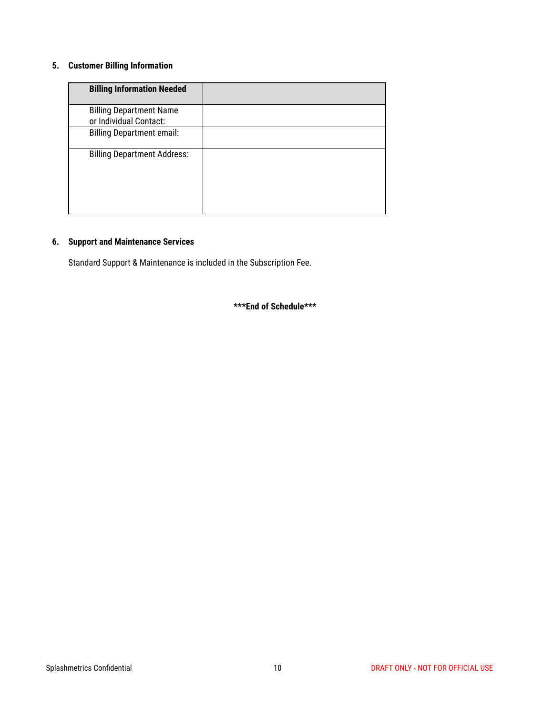# **5. Customer Billing Information**

| <b>Billing Information Needed</b>                        |  |
|----------------------------------------------------------|--|
| <b>Billing Department Name</b><br>or Individual Contact: |  |
| <b>Billing Department email:</b>                         |  |
| <b>Billing Department Address:</b>                       |  |

# **6. Support and Maintenance Services**

Standard Support & Maintenance is included in the Subscription Fee.

**\*\*\*End of Schedule\*\*\***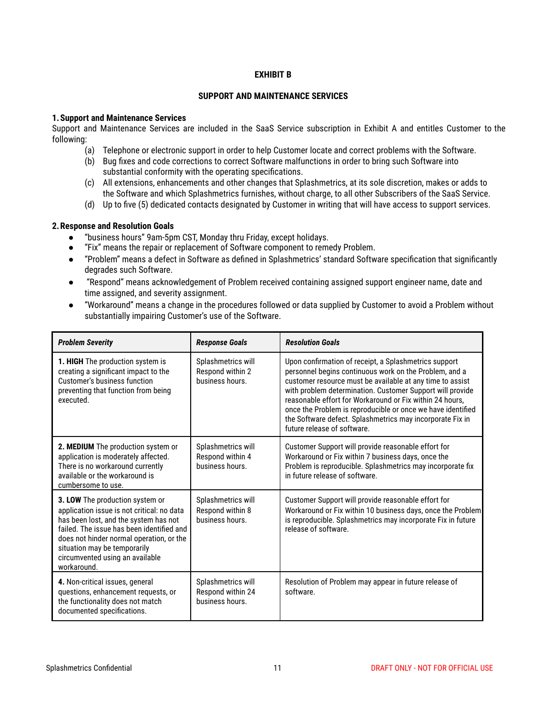## **EXHIBIT B**

## **SUPPORT AND MAINTENANCE SERVICES**

#### **1.Support and Maintenance Services**

Support and Maintenance Services are included in the SaaS Service subscription in Exhibit A and entitles Customer to the following:

- (a) Telephone or electronic support in order to help Customer locate and correct problems with the Software.
- (b) Bug fixes and code corrections to correct Software malfunctions in order to bring such Software into substantial conformity with the operating specifications.
- (c) All extensions, enhancements and other changes that Splashmetrics, at its sole discretion, makes or adds to the Software and which Splashmetrics furnishes, without charge, to all other Subscribers of the SaaS Service.
- (d) Up to five (5) dedicated contacts designated by Customer in writing that will have access to support services.

## **2.Response and Resolution Goals**

- "business hours" 9am-5pm CST, Monday thru Friday, except holidays.
- "Fix" means the repair or replacement of Software component to remedy Problem.
- "Problem" means a defect in Software as defined in Splashmetrics' standard Software specification that significantly degrades such Software.
- "Respond" means acknowledgement of Problem received containing assigned support engineer name, date and time assigned, and severity assignment.
- "Workaround" means a change in the procedures followed or data supplied by Customer to avoid a Problem without substantially impairing Customer's use of the Software.

| <b>Problem Severity</b>                                                                                                                                                                                                                                                                           | <b>Response Goals</b>                                      | <b>Resolution Goals</b>                                                                                                                                                                                                                                                                                                                                                                                                                                          |
|---------------------------------------------------------------------------------------------------------------------------------------------------------------------------------------------------------------------------------------------------------------------------------------------------|------------------------------------------------------------|------------------------------------------------------------------------------------------------------------------------------------------------------------------------------------------------------------------------------------------------------------------------------------------------------------------------------------------------------------------------------------------------------------------------------------------------------------------|
| 1. HIGH The production system is<br>creating a significant impact to the<br>Customer's business function<br>preventing that function from being<br>executed.                                                                                                                                      | Splashmetrics will<br>Respond within 2<br>business hours.  | Upon confirmation of receipt, a Splashmetrics support<br>personnel begins continuous work on the Problem, and a<br>customer resource must be available at any time to assist<br>with problem determination. Customer Support will provide<br>reasonable effort for Workaround or Fix within 24 hours,<br>once the Problem is reproducible or once we have identified<br>the Software defect. Splashmetrics may incorporate Fix in<br>future release of software. |
| 2. MEDIUM The production system or<br>application is moderately affected.<br>There is no workaround currently<br>available or the workaround is<br>cumbersome to use.                                                                                                                             | Splashmetrics will<br>Respond within 4<br>business hours.  | Customer Support will provide reasonable effort for<br>Workaround or Fix within 7 business days, once the<br>Problem is reproducible. Splashmetrics may incorporate fix<br>in future release of software.                                                                                                                                                                                                                                                        |
| 3. LOW The production system or<br>application issue is not critical: no data<br>has been lost, and the system has not<br>failed. The issue has been identified and<br>does not hinder normal operation, or the<br>situation may be temporarily<br>circumvented using an available<br>workaround. | Splashmetrics will<br>Respond within 8<br>business hours.  | Customer Support will provide reasonable effort for<br>Workaround or Fix within 10 business days, once the Problem<br>is reproducible. Splashmetrics may incorporate Fix in future<br>release of software.                                                                                                                                                                                                                                                       |
| 4. Non-critical issues, general<br>questions, enhancement requests, or<br>the functionality does not match<br>documented specifications.                                                                                                                                                          | Splashmetrics will<br>Respond within 24<br>business hours. | Resolution of Problem may appear in future release of<br>software.                                                                                                                                                                                                                                                                                                                                                                                               |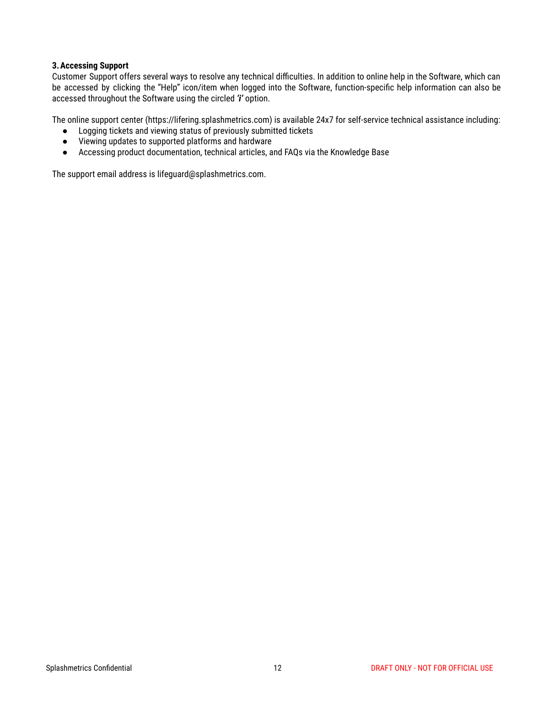# **3.Accessing Support**

Customer Support offers several ways to resolve any technical difficulties. In addition to online help in the Software, which can be accessed by clicking the "Help" icon/item when logged into the Software, function-specific help information can also be accessed throughout the Software using the circled *'i'* option.

The online support center (https://lifering.splashmetrics.com) is available 24x7 for self-service technical assistance including:

- Logging tickets and viewing status of previously submitted tickets
- Viewing updates to supported platforms and hardware
- Accessing product documentation, technical articles, and FAQs via the Knowledge Base

The support email address is lifeguard@splashmetrics.com.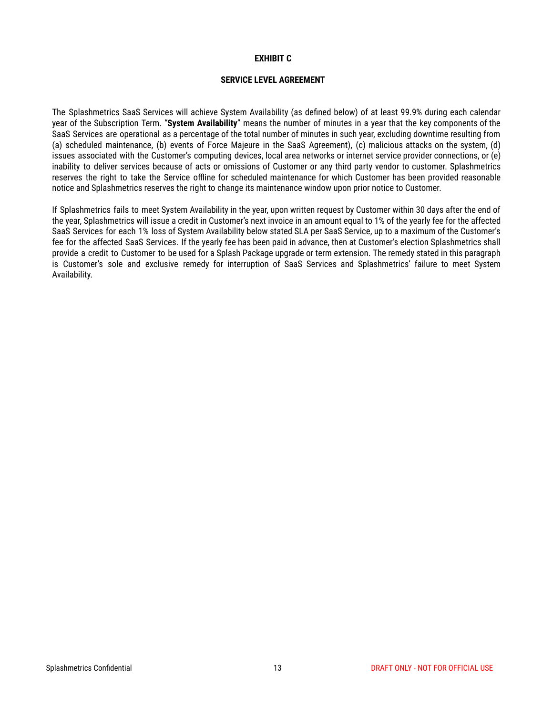#### **EXHIBIT C**

## **SERVICE LEVEL AGREEMENT**

The Splashmetrics SaaS Services will achieve System Availability (as defined below) of at least 99.9% during each calendar year of the Subscription Term. "**System Availability**" means the number of minutes in a year that the key components of the SaaS Services are operational as a percentage of the total number of minutes in such year, excluding downtime resulting from (a) scheduled maintenance, (b) events of Force Majeure in the SaaS Agreement), (c) malicious attacks on the system, (d) issues associated with the Customer's computing devices, local area networks or internet service provider connections, or (e) inability to deliver services because of acts or omissions of Customer or any third party vendor to customer. Splashmetrics reserves the right to take the Service offline for scheduled maintenance for which Customer has been provided reasonable notice and Splashmetrics reserves the right to change its maintenance window upon prior notice to Customer.

If Splashmetrics fails to meet System Availability in the year, upon written request by Customer within 30 days after the end of the year, Splashmetrics will issue a credit in Customer's next invoice in an amount equal to 1% of the yearly fee for the affected SaaS Services for each 1% loss of System Availability below stated SLA per SaaS Service, up to a maximum of the Customer's fee for the affected SaaS Services. If the yearly fee has been paid in advance, then at Customer's election Splashmetrics shall provide a credit to Customer to be used for a Splash Package upgrade or term extension. The remedy stated in this paragraph is Customer's sole and exclusive remedy for interruption of SaaS Services and Splashmetrics' failure to meet System Availability.